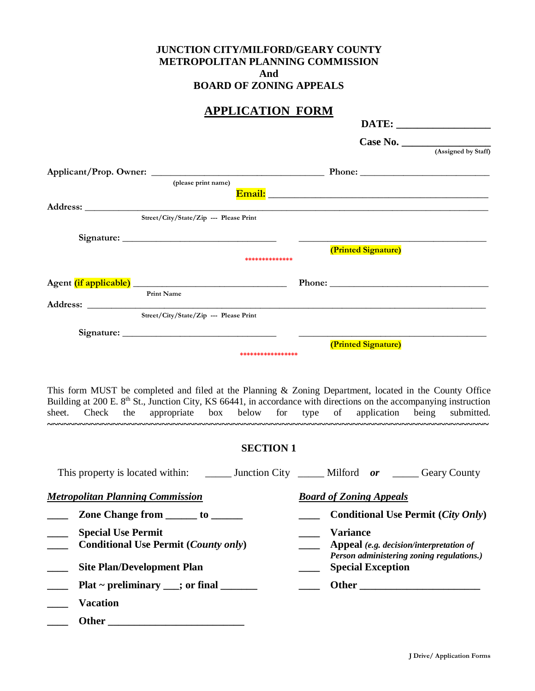### **JUNCTION CITY/MILFORD/GEARY COUNTY METROPOLITAN PLANNING COMMISSION And BOARD OF ZONING APPEALS**

## **APPLICATION FORM**

| ALLEIUATIUN TUNNI                                                                                                                                                                                                                                                                                                            |                                                                       |
|------------------------------------------------------------------------------------------------------------------------------------------------------------------------------------------------------------------------------------------------------------------------------------------------------------------------------|-----------------------------------------------------------------------|
|                                                                                                                                                                                                                                                                                                                              |                                                                       |
|                                                                                                                                                                                                                                                                                                                              | Case No. $\overline{\qquad \qquad }$ (Assigned by Staff)              |
|                                                                                                                                                                                                                                                                                                                              |                                                                       |
|                                                                                                                                                                                                                                                                                                                              |                                                                       |
| (please print name)                                                                                                                                                                                                                                                                                                          |                                                                       |
|                                                                                                                                                                                                                                                                                                                              |                                                                       |
| Street/City/State/Zip --- Please Print                                                                                                                                                                                                                                                                                       |                                                                       |
|                                                                                                                                                                                                                                                                                                                              |                                                                       |
|                                                                                                                                                                                                                                                                                                                              |                                                                       |
| **************                                                                                                                                                                                                                                                                                                               | (Printed Signature)                                                   |
|                                                                                                                                                                                                                                                                                                                              |                                                                       |
|                                                                                                                                                                                                                                                                                                                              |                                                                       |
| Print Name                                                                                                                                                                                                                                                                                                                   |                                                                       |
| Street/City/State/Zip --- Please Print                                                                                                                                                                                                                                                                                       |                                                                       |
|                                                                                                                                                                                                                                                                                                                              |                                                                       |
|                                                                                                                                                                                                                                                                                                                              | (Printed Signature)                                                   |
| *****************                                                                                                                                                                                                                                                                                                            |                                                                       |
| This form MUST be completed and filed at the Planning & Zoning Department, located in the County Office<br>Building at 200 E. 8 <sup>th</sup> St., Junction City, KS 66441, in accordance with directions on the accompanying instruction<br>sheet. Check the appropriate box below for type of application being submitted. |                                                                       |
| <b>SECTION 1</b>                                                                                                                                                                                                                                                                                                             |                                                                       |
| This property is located within: _________ Junction City ________ Milford or ________ Geary County                                                                                                                                                                                                                           |                                                                       |
| <b>Metropolitan Planning Commission</b>                                                                                                                                                                                                                                                                                      | <b>Board of Zoning Appeals</b>                                        |
| Zone Change from _______ to _______                                                                                                                                                                                                                                                                                          |                                                                       |
|                                                                                                                                                                                                                                                                                                                              | <b>Conditional Use Permit (City Only)</b>                             |
|                                                                                                                                                                                                                                                                                                                              |                                                                       |
| <b>Special Use Permit</b><br><b>Conditional Use Permit (County only)</b>                                                                                                                                                                                                                                                     | <b>Variance</b><br>Appeal (e.g. decision/interpretation of            |
| <b>Site Plan/Development Plan</b>                                                                                                                                                                                                                                                                                            | Person administering zoning regulations.)<br><b>Special Exception</b> |
| $Plat \sim$ preliminary ___; or final ________                                                                                                                                                                                                                                                                               |                                                                       |
| <b>Vacation</b>                                                                                                                                                                                                                                                                                                              |                                                                       |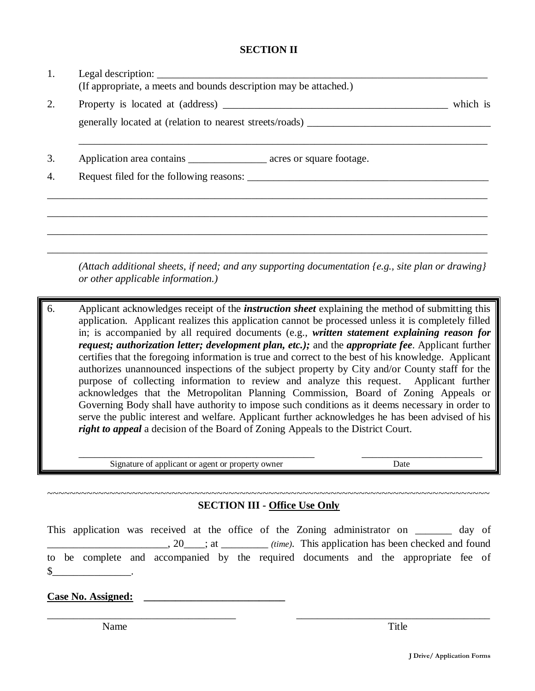#### **SECTION II**

| 1.                     | (If appropriate, a meets and bounds description may be attached.)                                                       |          |
|------------------------|-------------------------------------------------------------------------------------------------------------------------|----------|
| 2.                     | generally located at (relation to nearest streets/roads) ________________________                                       | which is |
| 3.<br>$\overline{4}$ . | Application area contains ________________________ acres or square footage.<br>Request filed for the following reasons: |          |
|                        |                                                                                                                         |          |

*(Attach additional sheets, if need; and any supporting documentation {e.g., site plan or drawing} or other applicable information.)*

\_\_\_\_\_\_\_\_\_\_\_\_\_\_\_\_\_\_\_\_\_\_\_\_\_\_\_\_\_\_\_\_\_\_\_\_\_\_\_\_\_\_\_\_\_\_\_\_\_\_\_\_\_\_\_\_\_\_\_\_\_\_\_\_\_\_\_\_\_\_\_\_\_\_\_\_\_\_\_\_\_\_\_\_

6. Applicant acknowledges receipt of the *instruction sheet* explaining the method of submitting this application. Applicant realizes this application cannot be processed unless it is completely filled in; is accompanied by all required documents (e.g., *written statement explaining reason for request; authorization letter; development plan, etc.);* and the *appropriate fee*. Applicant further certifies that the foregoing information is true and correct to the best of his knowledge. Applicant authorizes unannounced inspections of the subject property by City and/or County staff for the purpose of collecting information to review and analyze this request. Applicant further acknowledges that the Metropolitan Planning Commission, Board of Zoning Appeals or Governing Body shall have authority to impose such conditions as it deems necessary in order to serve the public interest and welfare. Applicant further acknowledges he has been advised of his *right to appeal* a decision of the Board of Zoning Appeals to the District Court.

Signature of applicant or agent or property owner Date

\_\_\_\_\_\_\_\_\_\_\_\_\_\_\_\_\_\_\_\_\_\_\_\_\_\_\_\_\_\_\_\_\_\_\_\_\_\_\_\_\_\_\_\_\_ \_\_\_\_\_\_\_\_\_\_\_\_\_\_\_\_\_\_\_\_\_\_\_

#### ~~~~~~~~~~~~~~~~~~~~~~~~~~~~~~~~~~~~~~~~~~~~~~~~~~~~~~~~~~~~~~~~~~~~~~~~~~~~~~ **SECTION III - Office Use Only**

This application was received at the office of the Zoning administrator on \_\_\_\_\_\_\_ day of \_\_\_\_\_\_\_\_\_\_\_\_\_\_\_\_\_\_\_\_\_\_\_, 20\_\_\_\_; at \_\_\_\_\_\_\_\_\_ *(time)*. This application has been checked and found to be complete and accompanied by the required documents and the appropriate fee of  $\S$  \_\_\_\_\_\_\_\_\_\_\_\_\_\_\_\_\_\_\_\_\_.

\_\_\_\_\_\_\_\_\_\_\_\_\_\_\_\_\_\_\_\_\_\_\_\_\_\_\_\_\_\_\_\_\_\_\_\_ \_\_\_\_\_\_\_\_\_\_\_\_\_\_\_\_\_\_\_\_\_\_\_\_\_\_\_\_\_\_\_\_\_\_\_\_\_

Case No. Assigned:

Name Title